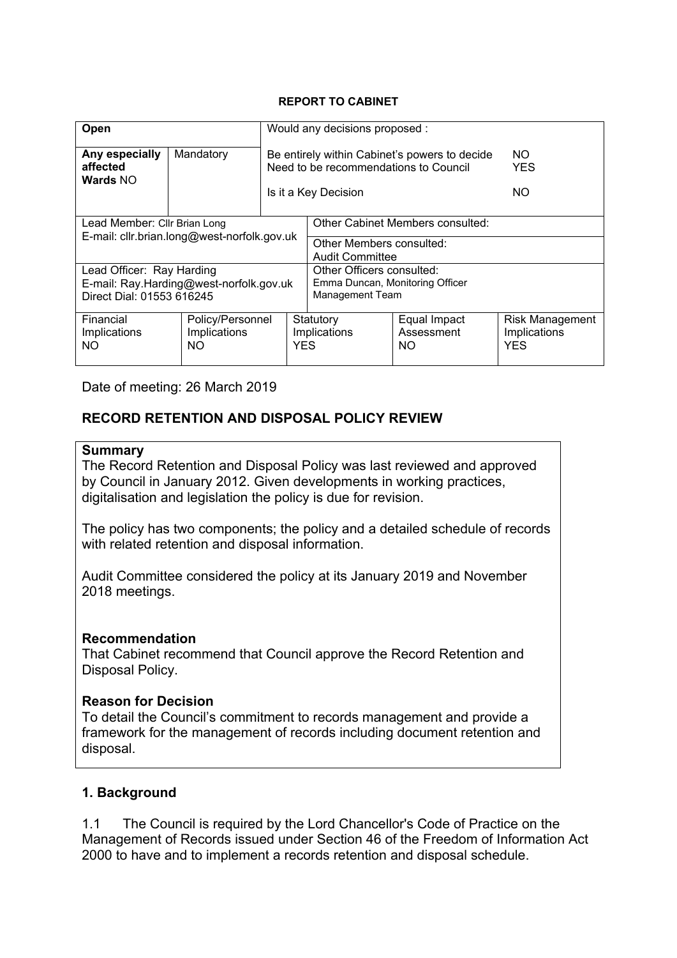#### **REPORT TO CABINET**

| Open                                                                                              |                                        | Would any decisions proposed :                                                                                 |                                                                                 |                                   |                                                      |
|---------------------------------------------------------------------------------------------------|----------------------------------------|----------------------------------------------------------------------------------------------------------------|---------------------------------------------------------------------------------|-----------------------------------|------------------------------------------------------|
| Any especially<br>affected<br>Wards NO                                                            | Mandatory                              | Be entirely within Cabinet's powers to decide<br>Need to be recommendations to Council<br>Is it a Key Decision |                                                                                 |                                   | NO.<br><b>YES</b><br>NO.                             |
|                                                                                                   |                                        |                                                                                                                |                                                                                 |                                   |                                                      |
| Lead Member: Cllr Brian Long                                                                      |                                        |                                                                                                                | Other Cabinet Members consulted:                                                |                                   |                                                      |
| E-mail: cllr.brian.long@west-norfolk.gov.uk                                                       |                                        |                                                                                                                | Other Members consulted:<br><b>Audit Committee</b>                              |                                   |                                                      |
| Lead Officer: Ray Harding<br>E-mail: Ray.Harding@west-norfolk.gov.uk<br>Direct Dial: 01553 616245 |                                        |                                                                                                                | Other Officers consulted:<br>Emma Duncan, Monitoring Officer<br>Management Team |                                   |                                                      |
| Financial<br>Implications<br>NO                                                                   | Policy/Personnel<br>Implications<br>NO |                                                                                                                | Statutory<br>Implications<br><b>YES</b>                                         | Equal Impact<br>Assessment<br>NO. | <b>Risk Management</b><br>Implications<br><b>YES</b> |

Date of meeting: 26 March 2019

# **RECORD RETENTION AND DISPOSAL POLICY REVIEW**

#### **Summary**

The Record Retention and Disposal Policy was last reviewed and approved by Council in January 2012. Given developments in working practices, digitalisation and legislation the policy is due for revision.

The policy has two components; the policy and a detailed schedule of records with related retention and disposal information.

Audit Committee considered the policy at its January 2019 and November 2018 meetings.

### **Recommendation**

That Cabinet recommend that Council approve the Record Retention and Disposal Policy.

### **Reason for Decision**

To detail the Council's commitment to records management and provide a framework for the management of records including document retention and disposal.

## **1. Background**

1.1 The Council is required by the Lord Chancellor's Code of Practice on the Management of Records issued under Section 46 of the Freedom of Information Act 2000 to have and to implement a records retention and disposal schedule.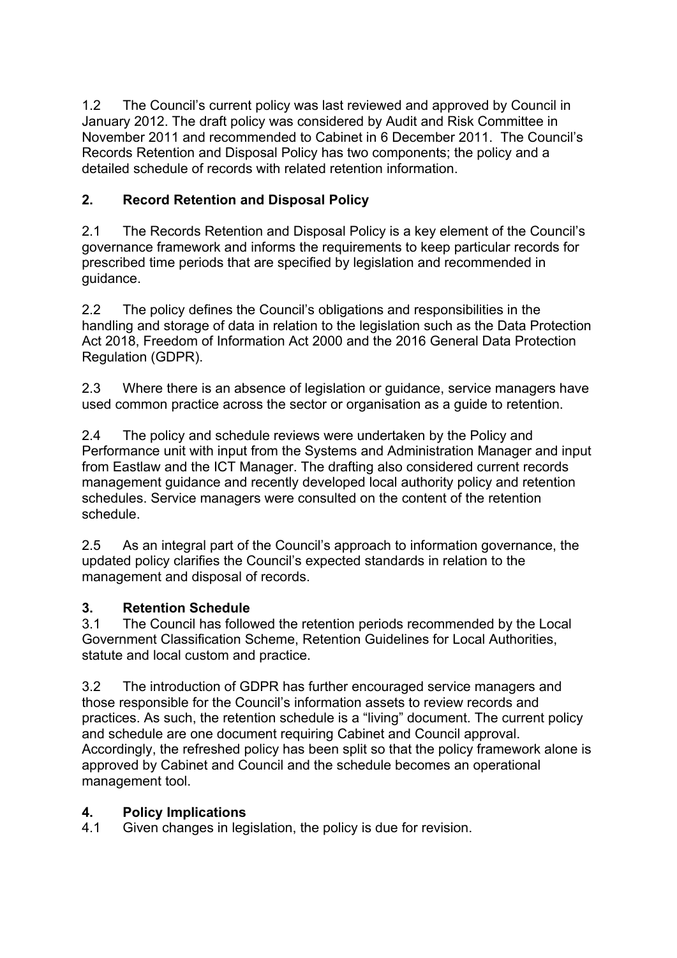1.2 The Council's current policy was last reviewed and approved by Council in January 2012. The draft policy was considered by Audit and Risk Committee in November 2011 and recommended to Cabinet in 6 December 2011. The Council's Records Retention and Disposal Policy has two components; the policy and a detailed schedule of records with related retention information.

# **2. Record Retention and Disposal Policy**

2.1 The Records Retention and Disposal Policy is a key element of the Council's governance framework and informs the requirements to keep particular records for prescribed time periods that are specified by legislation and recommended in guidance.

2.2 The policy defines the Council's obligations and responsibilities in the handling and storage of data in relation to the legislation such as the Data Protection Act 2018, Freedom of Information Act 2000 and the 2016 General Data Protection Regulation (GDPR).

2.3 Where there is an absence of legislation or guidance, service managers have used common practice across the sector or organisation as a guide to retention.

2.4 The policy and schedule reviews were undertaken by the Policy and Performance unit with input from the Systems and Administration Manager and input from Eastlaw and the ICT Manager. The drafting also considered current records management guidance and recently developed local authority policy and retention schedules. Service managers were consulted on the content of the retention schedule.

2.5 As an integral part of the Council's approach to information governance, the updated policy clarifies the Council's expected standards in relation to the management and disposal of records.

# **3. Retention Schedule**

3.1 The Council has followed the retention periods recommended by the Local Government Classification Scheme, Retention Guidelines for Local Authorities, statute and local custom and practice.

3.2 The introduction of GDPR has further encouraged service managers and those responsible for the Council's information assets to review records and practices. As such, the retention schedule is a "living" document. The current policy and schedule are one document requiring Cabinet and Council approval. Accordingly, the refreshed policy has been split so that the policy framework alone is approved by Cabinet and Council and the schedule becomes an operational management tool.

# **4. Policy Implications**

4.1 Given changes in legislation, the policy is due for revision.